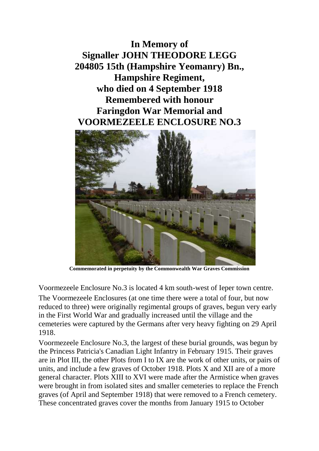**In Memory of Signaller JOHN THEODORE LEGG 204805 15th (Hampshire Yeomanry) Bn., Hampshire Regiment, who died on 4 September 1918 Remembered with honour Faringdon War Memorial and VOORMEZEELE ENCLOSURE NO.3**



**Commemorated in perpetuity by the Commonwealth War Graves Commission** 

Voormezeele Enclosure No.3 is located 4 km south-west of Ieper town centre. The Voormezeele Enclosures (at one time there were a total of four, but now reduced to three) were originally regimental groups of graves, begun very early in the First World War and gradually increased until the village and the cemeteries were captured by the Germans after very heavy fighting on 29 April 1918.

Voormezeele Enclosure No.3, the largest of these burial grounds, was begun by the Princess Patricia's Canadian Light Infantry in February 1915. Their graves are in Plot III, the other Plots from I to IX are the work of other units, or pairs of units, and include a few graves of October 1918. Plots X and XII are of a more general character. Plots XIII to XVI were made after the Armistice when graves were brought in from isolated sites and smaller cemeteries to replace the French graves (of April and September 1918) that were removed to a French cemetery. These concentrated graves cover the months from January 1915 to October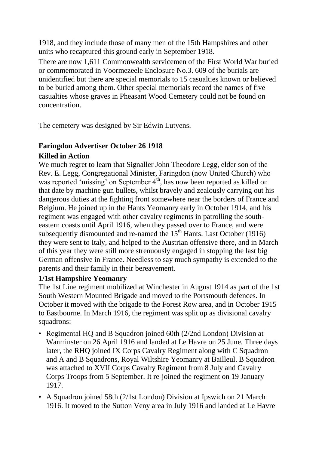1918, and they include those of many men of the 15th Hampshires and other units who recaptured this ground early in September 1918.

There are now 1,611 Commonwealth servicemen of the First World War buried or commemorated in Voormezeele Enclosure No.3. 609 of the burials are unidentified but there are special memorials to 15 casualties known or believed to be buried among them. Other special memorials record the names of five casualties whose graves in Pheasant Wood Cemetery could not be found on concentration.

The cemetery was designed by Sir Edwin Lutyens.

## **Faringdon Advertiser October 26 1918**

## **Killed in Action**

We much regret to learn that Signaller John Theodore Legg, elder son of the Rev. E. Legg, Congregational Minister, Faringdon (now United Church) who was reported 'missing' on September 4<sup>th</sup>, has now been reported as killed on that date by machine gun bullets, whilst bravely and zealously carrying out his dangerous duties at the fighting front somewhere near the borders of France and Belgium. He joined up in the Hants Yeomanry early in October 1914, and his regiment was engaged with other cavalry regiments in patrolling the southeastern coasts until April 1916, when they passed over to France, and were subsequently dismounted and re-named the  $15<sup>th</sup>$  Hants. Last October (1916) they were sent to Italy, and helped to the Austrian offensive there, and in March of this year they were still more strenuously engaged in stopping the last big German offensive in France. Needless to say much sympathy is extended to the parents and their family in their bereavement.

## **1/1st Hampshire Yeomanry**

The 1st Line regiment mobilized at Winchester in August 1914 as part of the 1st South Western Mounted Brigade and moved to the Portsmouth defences. In October it moved with the brigade to the Forest Row area, and in October 1915 to Eastbourne. In March 1916, the regiment was split up as divisional cavalry squadrons:

- Regimental HQ and B Squadron joined 60th (2/2nd London) Division at Warminster on 26 April 1916 and landed at Le Havre on 25 June. Three days later, the RHQ joined IX Corps Cavalry Regiment along with C Squadron and A and B Squadrons, Royal Wiltshire Yeomanry at Bailleul. B Squadron was attached to XVII Corps Cavalry Regiment from 8 July and Cavalry Corps Troops from 5 September. It re-joined the regiment on 19 January 1917.
- A Squadron joined 58th (2/1st London) Division at Ipswich on 21 March 1916. It moved to the Sutton Veny area in July 1916 and landed at Le Havre